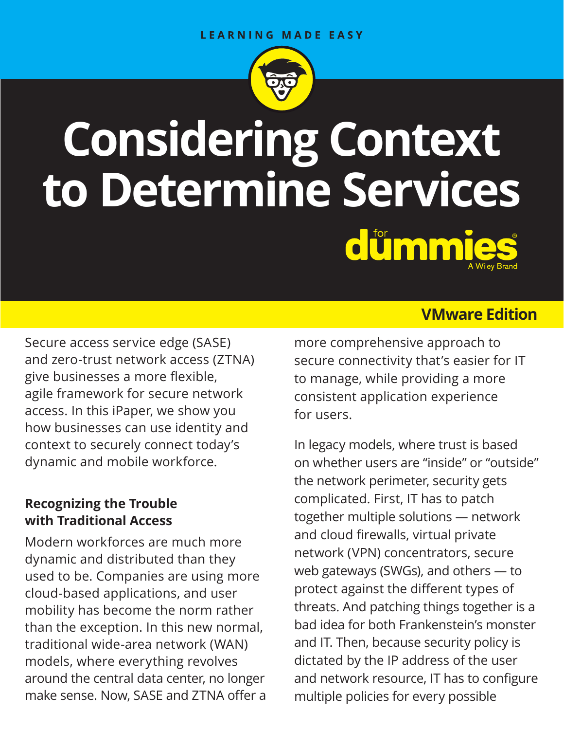

# **Considering Context to Determine Services** dümmie

Secure access service edge (SASE) and zero-trust network access (ZTNA) give businesses a more flexible, agile framework for secure network access. In this iPaper, we show you how businesses can use identity and context to securely connect today's dynamic and mobile workforce.

## **Recognizing the Trouble with Traditional Access**

Modern workforces are much more dynamic and distributed than they used to be. Companies are using more cloud-based applications, and user mobility has become the norm rather than the exception. In this new normal, traditional wide-area network (WAN) models, where everything revolves around the central data center, no longer make sense. Now, SASE and ZTNA offer a

## **VMware Edition**

more comprehensive approach to secure connectivity that's easier for IT to manage, while providing a more consistent application experience for users.

In legacy models, where trust is based on whether users are "inside" or "outside" the network perimeter, security gets complicated. First, IT has to patch together multiple solutions — network and cloud firewalls, virtual private network (VPN) concentrators, secure web gateways (SWGs), and others — to protect against the different types of threats. And patching things together is a bad idea for both Frankenstein's monster and IT. Then, because security policy is dictated by the IP address of the user and network resource, IT has to configure multiple policies for every possible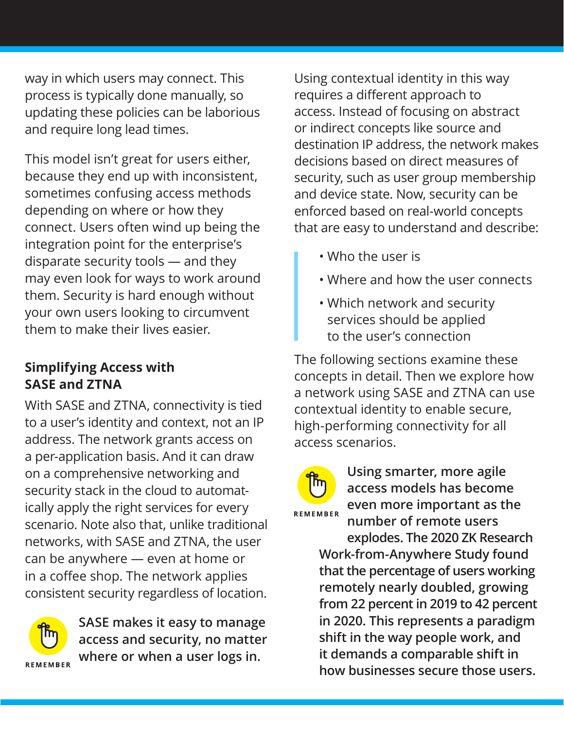way in which users may connect. This process is typically done manually, so updating these policies can be laborious and require long lead times.

This model isn't great for users either, because they end up with inconsistent, sometimes confusing access methods depending on where or how they connect. Users often wind up being the integration point for the enterprise's disparate security tools — and they may even look for ways to work around them. Security is hard enough without your own users looking to circumvent them to make their lives easier.

## **Simplifying Access with SASE and ZTNA**

With SASE and ZTNA, connectivity is tied to a user's identity and context, not an IP address. The network grants access on a per-application basis. And it can draw on a comprehensive networking and security stack in the cloud to automatically apply the right services for every scenario. Note also that, unlike traditional networks, with SASE and ZTNA, the user can be anywhere — even at home or in a coffee shop. The network applies consistent security regardless of location.



**SASE makes it easy to manage access and security, no matter where or when a user logs in.**

Using contextual identity in this way requires a different approach to access. Instead of focusing on abstract or indirect concepts like source and destination IP address, the network makes decisions based on direct measures of security, such as user group membership and device state. Now, security can be enforced based on real-world concepts that are easy to understand and describe:

- Who the user is
- Where and how the user connects
- Which network and security services should be applied to the user's connection

The following sections examine these concepts in detail. Then we explore how a network using SASE and ZTNA can use contextual identity to enable secure, high-performing connectivity for all access scenarios.



**Using smarter, more agile access models has become even more important as the number of remote users explodes. The 2020 ZK Research** 

**Work-from-Anywhere Study found that the percentage of users working remotely nearly doubled, growing from 22 percent in 2019 to 42 percent in 2020. This represents a paradigm shift in the way people work, and it demands a comparable shift in how businesses secure those users.**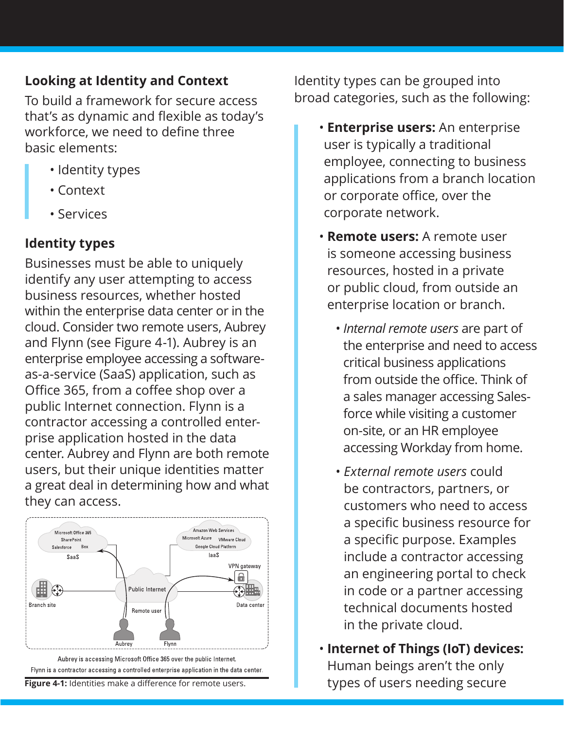## **Looking at Identity and Context**

To build a framework for secure access that's as dynamic and flexible as today's workforce, we need to define three basic elements:

- Identity types
- Context
- Services

# **Identity types**

Businesses must be able to uniquely identify any user attempting to access business resources, whether hosted within the enterprise data center or in the cloud. Consider two remote users, Aubrey and Flynn (see Figure 4-1). Aubrey is an enterprise employee accessing a softwareas-a-service (SaaS) application, such as Office 365, from a coffee shop over a public Internet connection. Flynn is a contractor accessing a controlled enterprise application hosted in the data center. Aubrey and Flynn are both remote users, but their unique identities matter a great deal in determining how and what they can access.



Flynn is a contractor accessing a controlled enterprise application in the data center.

Identity types can be grouped into broad categories, such as the following:

- • **Enterprise users:** An enterprise user is typically a traditional employee, connecting to business applications from a branch location or corporate office, over the corporate network.
- **Remote users:** A remote user is someone accessing business resources, hosted in a private or public cloud, from outside an enterprise location or branch.
	- *Internal remote users* are part of the enterprise and need to access critical business applications from outside the office. Think of a sales manager accessing Salesforce while visiting a customer on-site, or an HR employee accessing Workday from home.
	- *External remote users* could be contractors, partners, or customers who need to access a specific business resource for a specific purpose. Examples include a contractor accessing an engineering portal to check in code or a partner accessing technical documents hosted in the private cloud.
- **Internet of Things (IoT) devices:**  Human beings aren't the only **Figure 4-1:** Identities make a difference for remote users. The stypes of users needing secure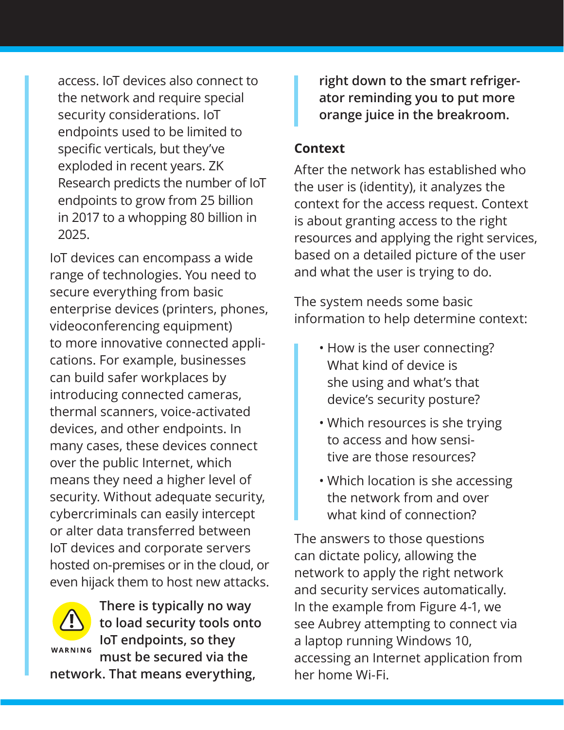access. IoT devices also connect to the network and require special security considerations. IoT endpoints used to be limited to specific verticals, but they've exploded in recent years. ZK Research predicts the number of IoT endpoints to grow from 25 billion in 2017 to a whopping 80 billion in 2025.

IoT devices can encompass a wide range of technologies. You need to secure everything from basic enterprise devices (printers, phones, videoconferencing equipment) to more innovative connected applications. For example, businesses can build safer workplaces by introducing connected cameras, thermal scanners, voice-activated devices, and other endpoints. In many cases, these devices connect over the public Internet, which means they need a higher level of security. Without adequate security, cybercriminals can easily intercept or alter data transferred between IoT devices and corporate servers hosted on-premises or in the cloud, or even hijack them to host new attacks.



**There is typically no way to load security tools onto IoT endpoints, so they must be secured via the** 

**network. That means everything,** 

**right down to the smart refrigerator reminding you to put more orange juice in the breakroom.**

### **Context**

After the network has established who the user is (identity), it analyzes the context for the access request. Context is about granting access to the right resources and applying the right services, based on a detailed picture of the user and what the user is trying to do.

The system needs some basic information to help determine context:

- How is the user connecting? What kind of device is she using and what's that device's security posture?
- Which resources is she trying to access and how sensitive are those resources?
- Which location is she accessing the network from and over what kind of connection?

The answers to those questions can dictate policy, allowing the network to apply the right network and security services automatically. In the example from Figure 4-1, we see Aubrey attempting to connect via a laptop running Windows 10, accessing an Internet application from her home Wi-Fi.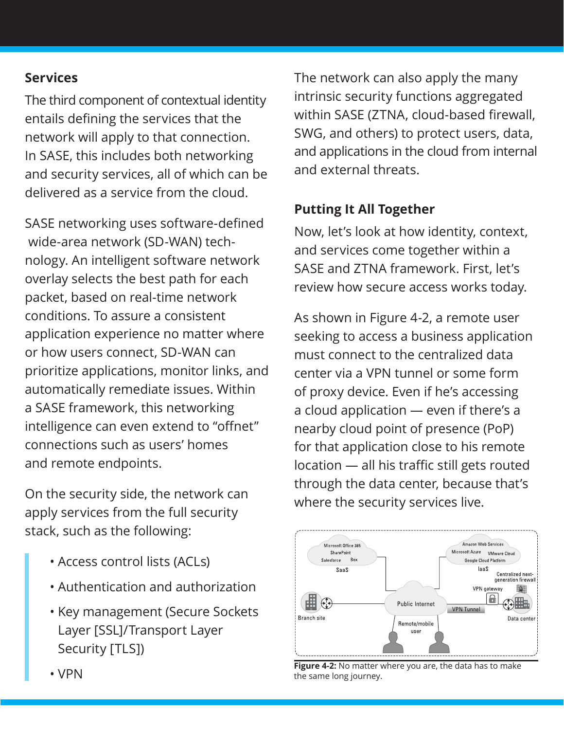## **Services**

The third component of contextual identity entails defining the services that the network will apply to that connection. In SASE, this includes both networking and security services, all of which can be delivered as a service from the cloud.

SASE networking uses software-defined wide-area network (SD-WAN) technology. An intelligent software network overlay selects the best path for each packet, based on real-time network conditions. To assure a consistent application experience no matter where or how users connect, SD-WAN can prioritize applications, monitor links, and automatically remediate issues. Within a SASE framework, this networking intelligence can even extend to "offnet" connections such as users' homes and remote endpoints.

On the security side, the network can apply services from the full security stack, such as the following:

- Access control lists (ACLs)
- Authentication and authorization
- Key management (Secure Sockets Layer [SSL]/Transport Layer Security [TLS])

The network can also apply the many intrinsic security functions aggregated within SASE (ZTNA, cloud-based firewall, SWG, and others) to protect users, data, and applications in the cloud from internal and external threats.

## **Putting It All Together**

Now, let's look at how identity, context, and services come together within a SASE and ZTNA framework. First, let's review how secure access works today.

As shown in Figure 4-2, a remote user seeking to access a business application must connect to the centralized data center via a VPN tunnel or some form of proxy device. Even if he's accessing a cloud application — even if there's a nearby cloud point of presence (PoP) for that application close to his remote location — all his traffic still gets routed through the data center, because that's where the security services live.



**Figure 4-2:** No matter where you are, the data has to make the same long journey.

• VPN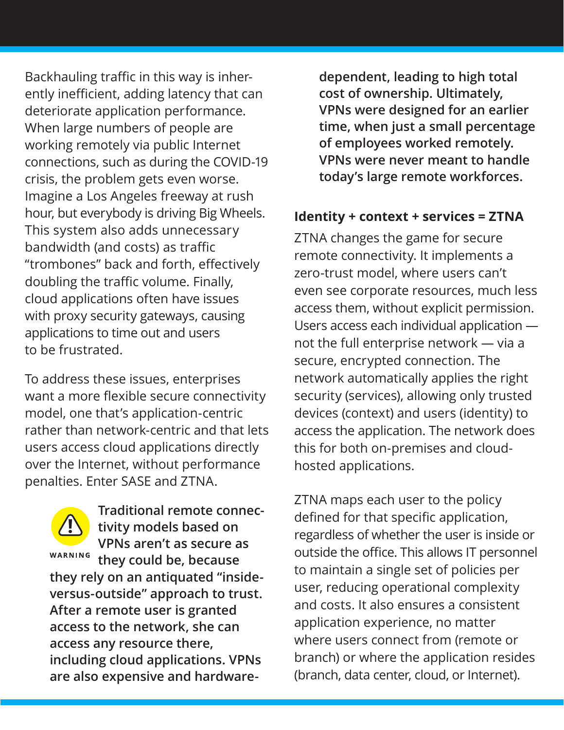Backhauling traffic in this way is inherently inefficient, adding latency that can deteriorate application performance. When large numbers of people are working remotely via public Internet connections, such as during the COVID-19 crisis, the problem gets even worse. Imagine a Los Angeles freeway at rush hour, but everybody is driving Big Wheels. This system also adds unnecessary bandwidth (and costs) as traffic "trombones" back and forth, effectively doubling the traffic volume. Finally, cloud applications often have issues with proxy security gateways, causing applications to time out and users to be frustrated.

To address these issues, enterprises want a more flexible secure connectivity model, one that's application-centric rather than network-centric and that lets users access cloud applications directly over the Internet, without performance penalties. Enter SASE and ZTNA.

**Traditional remote connectivity models based on VPNs aren't as secure as**  WARNING **they could be, because they rely on an antiquated "insideversus-outside" approach to trust. After a remote user is granted access to the network, she can access any resource there, including cloud applications. VPNs are also expensive and hardware-**

**dependent, leading to high total cost of ownership. Ultimately, VPNs were designed for an earlier time, when just a small percentage of employees worked remotely. VPNs were never meant to handle today's large remote workforces.**

#### **Identity + context + services = ZTNA**

ZTNA changes the game for secure remote connectivity. It implements a zero-trust model, where users can't even see corporate resources, much less access them, without explicit permission. Users access each individual application not the full enterprise network — via a secure, encrypted connection. The network automatically applies the right security (services), allowing only trusted devices (context) and users (identity) to access the application. The network does this for both on-premises and cloudhosted applications.

ZTNA maps each user to the policy defined for that specific application, regardless of whether the user is inside or outside the office. This allows IT personnel to maintain a single set of policies per user, reducing operational complexity and costs. It also ensures a consistent application experience, no matter where users connect from (remote or branch) or where the application resides (branch, data center, cloud, or Internet).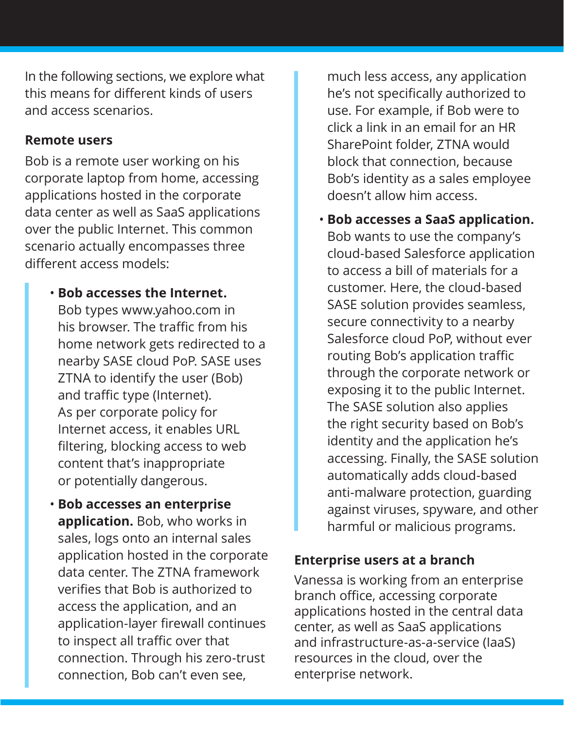In the following sections, we explore what this means for different kinds of users and access scenarios.

#### **Remote users**

Bob is a remote user working on his corporate laptop from home, accessing applications hosted in the corporate data center as well as SaaS applications over the public Internet. This common scenario actually encompasses three different access models:

#### • **Bob accesses the Internet.**

Bob types www.yahoo.com in his browser. The traffic from his home network gets redirected to a nearby SASE cloud PoP. SASE uses ZTNA to identify the user (Bob) and traffic type (Internet). As per corporate policy for Internet access, it enables URL filtering, blocking access to web content that's inappropriate or potentially dangerous.

• **Bob accesses an enterprise application.** Bob, who works in sales, logs onto an internal sales application hosted in the corporate data center. The ZTNA framework verifies that Bob is authorized to access the application, and an application-layer firewall continues to inspect all traffic over that connection. Through his zero-trust connection, Bob can't even see,

much less access, any application he's not specifically authorized to use. For example, if Bob were to click a link in an email for an HR SharePoint folder, ZTNA would block that connection, because Bob's identity as a sales employee doesn't allow him access.

• **Bob accesses a SaaS application.**  Bob wants to use the company's cloud-based Salesforce application to access a bill of materials for a customer. Here, the cloud-based SASE solution provides seamless, secure connectivity to a nearby Salesforce cloud PoP, without ever routing Bob's application traffic through the corporate network or exposing it to the public Internet. The SASE solution also applies the right security based on Bob's identity and the application he's accessing. Finally, the SASE solution automatically adds cloud-based anti-malware protection, guarding against viruses, spyware, and other harmful or malicious programs.

#### **Enterprise users at a branch**

Vanessa is working from an enterprise branch office, accessing corporate applications hosted in the central data center, as well as SaaS applications and infrastructure-as-a-service (IaaS) resources in the cloud, over the enterprise network.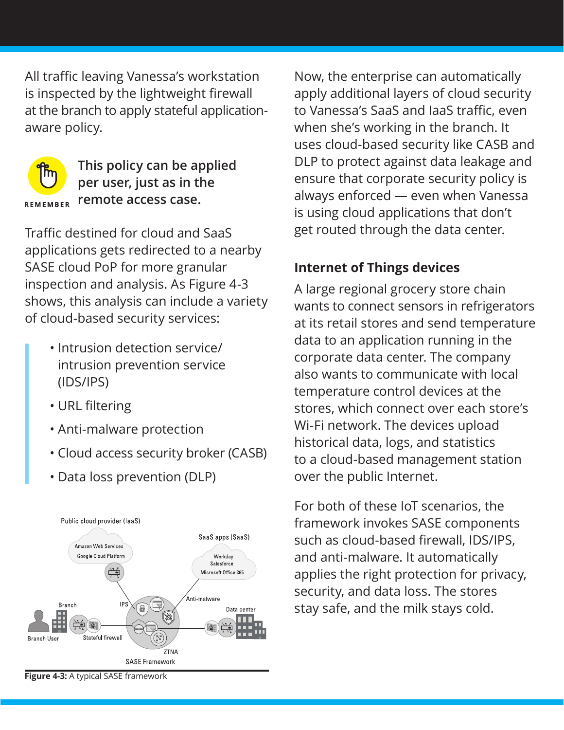All traffic leaving Vanessa's workstation is inspected by the lightweight firewall at the branch to apply stateful applicationaware policy.



**This policy can be applied per user, just as in the remote access case.**

Traffic destined for cloud and SaaS applications gets redirected to a nearby SASE cloud PoP for more granular inspection and analysis. As Figure 4-3 shows, this analysis can include a variety of cloud-based security services:

- Intrusion detection service/ intrusion prevention service (IDS/IPS)
- URL filtering
- Anti-malware protection
- Cloud access security broker (CASB)
- Data loss prevention (DLP)



Now, the enterprise can automatically apply additional layers of cloud security to Vanessa's SaaS and IaaS traffic, even when she's working in the branch. It uses cloud-based security like CASB and DLP to protect against data leakage and ensure that corporate security policy is always enforced — even when Vanessa is using cloud applications that don't get routed through the data center.

## **Internet of Things devices**

A large regional grocery store chain wants to connect sensors in refrigerators at its retail stores and send temperature data to an application running in the corporate data center. The company also wants to communicate with local temperature control devices at the stores, which connect over each store's Wi-Fi network. The devices upload historical data, logs, and statistics to a cloud-based management station over the public Internet.

For both of these IoT scenarios, the framework invokes SASE components such as cloud-based firewall, IDS/IPS, and anti-malware. It automatically applies the right protection for privacy, security, and data loss. The stores stay safe, and the milk stays cold.

**Figure 4-3:** A typical SASE framework